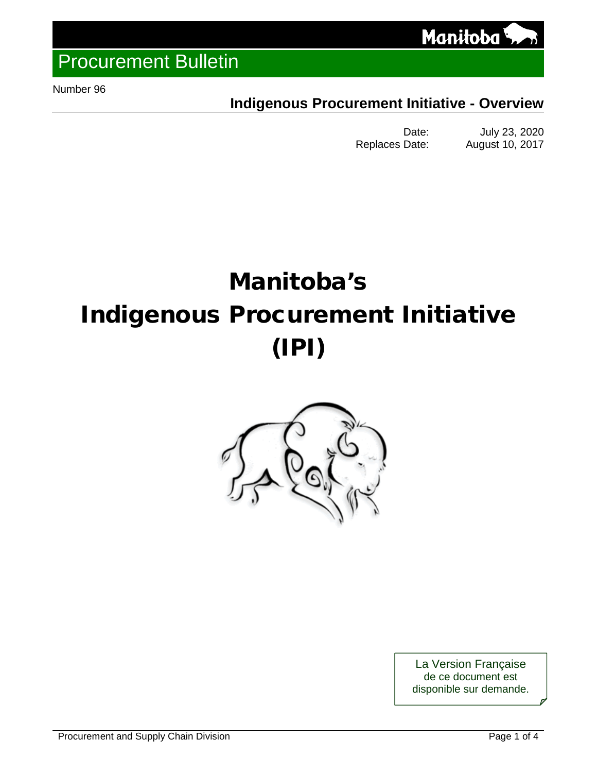

<span id="page-0-0"></span>Number 96

## **Indigenous Procurement Initiative - Overview**

Date: July 23, 2020<br>Replaces Date: August 10, 2017 August 10, 2017

# Manitoba's Indigenous Procurement Initiative (IPI)



La Version Française de ce document est disponible sur demande.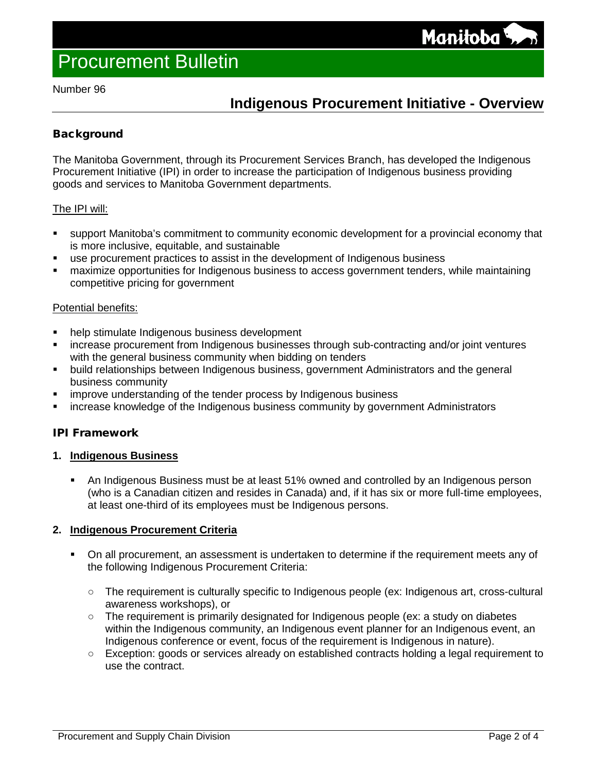Number 96

## **Indigenous Procurement Initiative - Overview**

## **Background**

The Manitoba Government, through its Procurement Services Branch, has developed the Indigenous Procurement Initiative (IPI) in order to increase the participation of Indigenous business providing goods and services to Manitoba Government departments.

## The IPI will:

- support Manitoba's commitment to [community economic development](mid://00000026/#Community) for a provincial economy that is more inclusive, equitable, and sustainable
- use procurement practices to assist in the development of Indigenous business
- maximize opportunities for Indigenous business to access government tenders, while maintaining competitive pricing for government

#### Potential benefits:

- help stimulate Indigenous business development
- increase procurement from Indigenous businesses through sub-contracting and/or joint ventures with the general business community when bidding on tenders
- **•** build relationships between Indigenous business, government Administrators and the general business community
- improve understanding of the tender process by Indigenous business
- increase knowledge of the Indigenous business community by government Administrators

## IPI Framework

## **1. Indigenous Business**

 An Indigenous Business must be at least 51% owned and controlled by an Indigenous person (who is a Canadian citizen and resides in Canada) and, if it has six or more full-time employees, at least one-third of its employees must be Indigenous persons.

## **2. Indigenous Procurement Criteria**

- On all procurement, an assessment is undertaken to determine if the requirement meets any of the following Indigenous Procurement Criteria:
	- The requirement is culturally specific to Indigenous people (ex: Indigenous art, cross-cultural awareness workshops), or
	- The requirement is primarily designated for Indigenous people (ex: a study on diabetes within the Indigenous community, an Indigenous event planner for an Indigenous event, an Indigenous conference or event, focus of the requirement is Indigenous in nature).
	- Exception: goods or services already on established contracts holding a legal requirement to use the contract.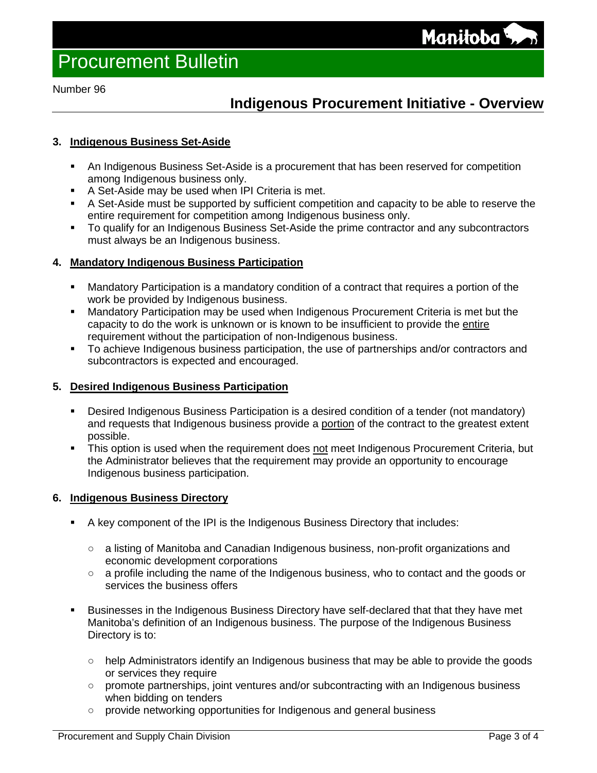Number 96

## **Indigenous Procurement Initiative - Overview**

## **3. Indigenous Business Set-Aside**

- An Indigenous Business Set-Aside is a procurement that has been reserved for competition among Indigenous business only.
- A Set-Aside may be used when IPI Criteria is met.
- A Set-Aside must be supported by sufficient competition and capacity to be able to reserve the entire requirement for competition among Indigenous business only.
- To qualify for an Indigenous Business Set-Aside the prime contractor and any subcontractors must always be an Indigenous business.

## **4. Mandatory Indigenous Business Participation**

- Mandatory Participation is a mandatory condition of a contract that requires a portion of the work be provided by Indigenous business.
- Mandatory Participation may be used when Indigenous Procurement Criteria is met but the capacity to do the work is unknown or is known to be insufficient to provide the entire requirement without the participation of non-Indigenous business.
- To achieve Indigenous business participation, the use of partnerships and/or contractors and subcontractors is expected and encouraged.

## **5. Desired Indigenous Business Participation**

- Desired Indigenous Business Participation is a desired condition of a tender (not mandatory) and requests that Indigenous business provide a portion of the contract to the greatest extent possible.
- This option is used when the requirement does not meet Indigenous Procurement Criteria, but the Administrator believes that the requirement may provide an opportunity to encourage Indigenous business participation.

## **6. Indigenous Business Directory**

- A key component of the IPI is the Indigenous Business Directory that includes:
	- a listing of Manitoba and Canadian Indigenous business, non-profit organizations and economic development corporations
	- a profile including the name of the Indigenous business, who to contact and the goods or services the business offers
- Businesses in the Indigenous Business Directory have self-declared that that they have met Manitoba's definition of an Indigenous business. The purpose of the Indigenous Business Directory is to:
	- help Administrators identify an Indigenous business that may be able to provide the goods or services they require
	- promote partnerships, joint ventures and/or subcontracting with an Indigenous business when bidding on tenders
	- provide networking opportunities for Indigenous and general business